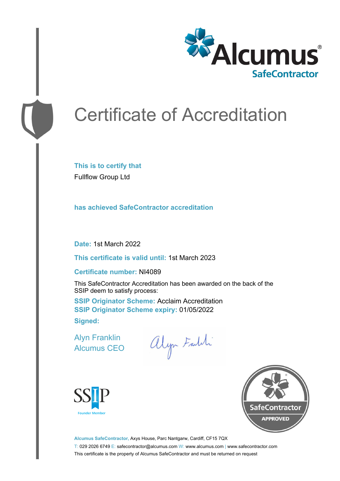

# Certificate of Accreditation

**This is to certify that** Fullflow Group Ltd

**has achieved SafeContractor accreditation**

**Date:** 1st March 2022

**This certificate is valid until:** 1st March 2023

#### **Certificate number:** NI4089

This SafeContractor Accreditation has been awarded on the back of the SSIP deem to satisfy process:

**SSIP Originator Scheme: Acclaim Accreditation SSIP Originator Scheme expiry:** 01/05/2022 **Signed:**

Alyn Franklin Alcumus CEO

alyn Faldi





**Alcumus SafeContractor,** Axys House, Parc Nantgarw, Cardiff, CF15 7QX T: 029 2026 6749 E: safecontractor@alcumus.com W: www.alcumus.com | www.safecontractor.com This certificate is the property of Alcumus SafeContractor and must be returned on request